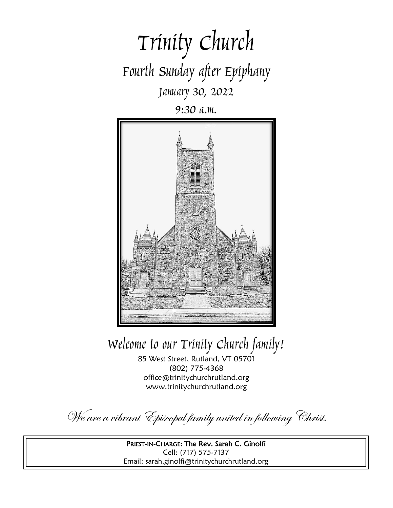

9:30 a.m.



Welcome to our Trinity Church family!

85 West Street, Rutland, VT 05701 (802) 775-4368 office@trinitychurchrutland.org www.trinitychurchrutland.org

We are a vibrant Episcopal family united in following Christ.

PRIEST-IN-CHARGE: The Rev. Sarah C. Ginolfi Cell: (717) 575-7137 Email: sarah.ginolfi@trinitychurchrutland.org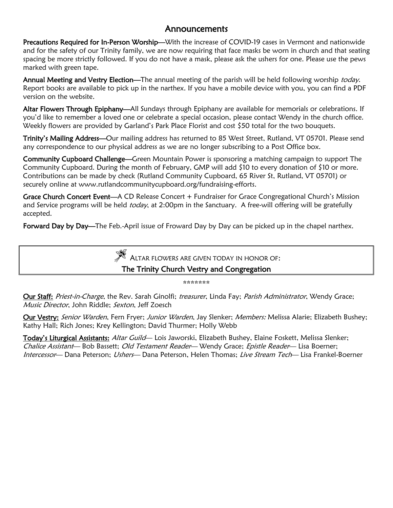### Announcements

Precautions Required for In-Person Worship—With the increase of COVID-19 cases in Vermont and nationwide and for the safety of our Trinity family, we are now requiring that face masks be worn in church and that seating spacing be more strictly followed. If you do not have a mask, please ask the ushers for one. Please use the pews marked with green tape.

Annual Meeting and Vestry Election—The annual meeting of the parish will be held following worship today. Report books are available to pick up in the narthex. If you have a mobile device with you, you can find a PDF version on the website.

Altar Flowers Through Epiphany—All Sundays through Epiphany are available for memorials or celebrations. If you'd like to remember a loved one or celebrate a special occasion, please contact Wendy in the church office. Weekly flowers are provided by Garland's Park Place Florist and cost \$50 total for the two bouquets.

Trinity's Mailing Address—Our mailing address has returned to 85 West Street, Rutland, VT 05701. Please send any correspondence to our physical address as we are no longer subscribing to a Post Office box.

Community Cupboard Challenge—Green Mountain Power is sponsoring a matching campaign to support The Community Cupboard. During the month of February, GMP will add \$10 to every donation of \$10 or more. Contributions can be made by check (Rutland Community Cupboard, 65 River St, Rutland, VT 05701) or securely online at www.rutlandcommunitycupboard.org/fundraising-efforts.

Grace Church Concert Event-A CD Release Concert + Fundraiser for Grace Congregational Church's Mission and Service programs will be held *today*, at 2:00pm in the Sanctuary. A free-will offering will be gratefully accepted.

Forward Day by Day—The Feb.-April issue of Froward Day by Day can be picked up in the chapel narthex.



\*\*\*\*\*\*\*\*\*\*\*\*\*\*

Our Staff: Priest-in-Charge, the Rev. Sarah Ginolfi; treasurer, Linda Fay; Parish Administrator, Wendy Grace; Music Director, John Riddle; Sexton, Jeff Zoesch

Our Vestry: Senior Warden, Fern Fryer; Junior Warden, Jay Slenker; Members: Melissa Alarie; Elizabeth Bushey; Kathy Hall; Rich Jones; Krey Kellington; David Thurmer; Holly Webb

Today's Liturgical Assistants: Altar Guild— Lois Jaworski, Elizabeth Bushey, Elaine Foskett, Melissa Slenker; Chalice Assistant— Bob Bassett; Old Testament Reader— Wendy Grace; Epistle Reader— Lisa Boerner; Intercessor— Dana Peterson; Ushers— Dana Peterson, Helen Thomas; Live Stream Tech— Lisa Frankel-Boerner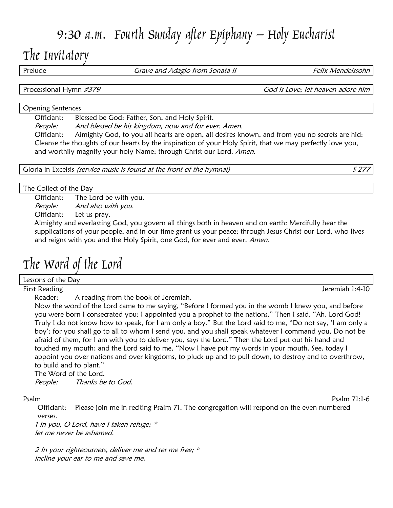# 9:30 a.m. Fourth Sunday after Epiphany – Holy Eucharist

## The Invitatory

Prelude **Figure 10 Solution Crave and Adagio from Sonata II** Felix Mendelssohn

Processional Hymn #379 **Processional Hymn** #379

#### Opening Sentences

Officiant: Blessed be God: Father, Son, and Holy Spirit.

People: And blessed be his kingdom, now and for ever. Amen.

Officiant: Almighty God, to you all hearts are open, all desires known, and from you no secrets are hid: Cleanse the thoughts of our hearts by the inspiration of your Holy Spirit, that we may perfectly love you, and worthily magnify your holy Name; through Christ our Lord. Amen.

Gloria in Excelsis *(service music is found at the front of the hymnal)* S 277

#### The Collect of the Day

Officiant: The Lord be with you. People: And also with you. Officiant: Let us pray.

Almighty and everlasting God, you govern all things both in heaven and on earth: Mercifully hear the supplications of your people, and in our time grant us your peace; through Jesus Christ our Lord, who lives and reigns with you and the Holy Spirit, one God, for ever and ever. Amen.

# The Word of the Lord

Lessons of the Day

First Reading Jeremiah 1:4-10

Reader: A reading from the book of Jeremiah.

Now the word of the Lord came to me saying, "Before I formed you in the womb I knew you, and before you were born I consecrated you; I appointed you a prophet to the nations." Then I said, "Ah, Lord God! Truly I do not know how to speak, for I am only a boy." But the Lord said to me, "Do not say, 'I am only a boy'; for you shall go to all to whom I send you, and you shall speak whatever I command you, Do not be afraid of them, for I am with you to deliver you, says the Lord." Then the Lord put out his hand and touched my mouth; and the Lord said to me, "Now I have put my words in your mouth. See, today I appoint you over nations and over kingdoms, to pluck up and to pull down, to destroy and to overthrow, to build and to plant."

The Word of the Lord.

People: Thanks be to God.

Psalm Psalm 71:1-6

Officiant: Please join me in reciting Psalm 71. The congregation will respond on the even numbered verses.

1 In you, O Lord, have I taken refuge; \* let me never be ashamed.

2 In your righteousness, deliver me and set me free; \* incline your ear to me and save me.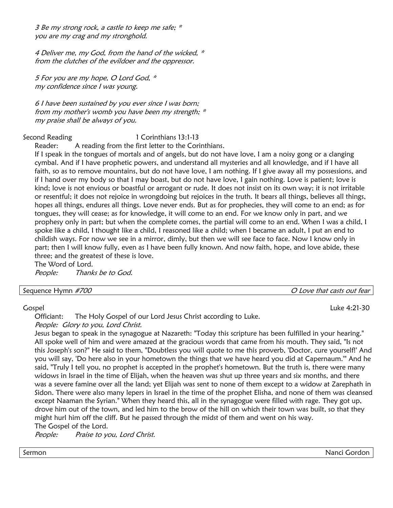3 Be my strong rock, a castle to keep me safe; \* you are my crag and my stronghold.

4 Deliver me, my God, from the hand of the wicked,  $*$ from the clutches of the evildoer and the oppressor.

5 For you are my hope, O Lord God, \* my confidence since I was young.

6 I have been sustained by you ever since I was born; from my mother's womb you have been my strength; \* my praise shall be always of you.

Second Reading 1 Corinthians 13:1-13 Reader: A reading from the first letter to the Corinthians.

If I speak in the tongues of mortals and of angels, but do not have love, I am a noisy gong or a clanging cymbal. And if I have prophetic powers, and understand all mysteries and all knowledge, and if I have all faith, so as to remove mountains, but do not have love, I am nothing. If I give away all my possessions, and if I hand over my body so that I may boast, but do not have love, I gain nothing. Love is patient; love is kind; love is not envious or boastful or arrogant or rude. It does not insist on its own way; it is not irritable or resentful; it does not rejoice in wrongdoing but rejoices in the truth. It bears all things, believes all things, hopes all things, endures all things. Love never ends. But as for prophecies, they will come to an end; as for tongues, they will cease; as for knowledge, it will come to an end. For we know only in part, and we prophesy only in part; but when the complete comes, the partial will come to an end. When I was a child, I spoke like a child, I thought like a child, I reasoned like a child; when I became an adult, I put an end to childish ways. For now we see in a mirror, dimly, but then we will see face to face. Now I know only in part; then I will know fully, even as I have been fully known. And now faith, hope, and love abide, these three; and the greatest of these is love.

The Word of Lord. People: Thanks be to God.

| Sequence Hymn #700 |
|--------------------|
|                    |

O Love that casts out fear

Gospel Luke 4:21-30

Officiant: The Holy Gospel of our Lord Jesus Christ according to Luke.

People: Glory to you, Lord Christ.

Jesus began to speak in the synagogue at Nazareth: "Today this scripture has been fulfilled in your hearing." All spoke well of him and were amazed at the gracious words that came from his mouth. They said, "Is not this Joseph's son?" He said to them, "Doubtless you will quote to me this proverb, 'Doctor, cure yourself!' And you will say, 'Do here also in your hometown the things that we have heard you did at Capernaum.'" And he said, "Truly I tell you, no prophet is accepted in the prophet's hometown. But the truth is, there were many widows in Israel in the time of Elijah, when the heaven was shut up three years and six months, and there was a severe famine over all the land; yet Elijah was sent to none of them except to a widow at Zarephath in Sidon. There were also many lepers in Israel in the time of the prophet Elisha, and none of them was cleansed except Naaman the Syrian." When they heard this, all in the synagogue were filled with rage. They got up, drove him out of the town, and led him to the brow of the hill on which their town was built, so that they might hurl him off the cliff. But he passed through the midst of them and went on his way.

The Gospel of the Lord.

People: Praise to you, Lord Christ.

Sermon Nanci Gordon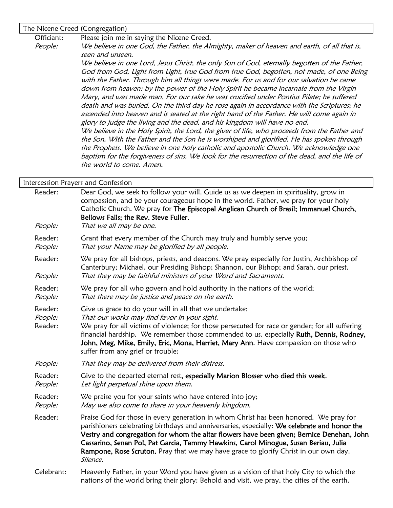The Nicene Creed (Congregation)

Officiant: Please join me in saying the Nicene Creed.

People: We believe in one God, the Father, the Almighty, maker of heaven and earth, of all that is, seen and unseen.

> We believe in one Lord, Jesus Christ, the only Son of God, eternally begotten of the Father, God from God, Light from Light, true God from true God, begotten, not made, of one Being with the Father. Through him all things were made. For us and for our salvation he came down from heaven: by the power of the Holy Spirit he became incarnate from the Virgin Mary, and was made man. For our sake he was crucified under Pontius Pilate; he suffered death and was buried. On the third day he rose again in accordance with the Scriptures; he ascended into heaven and is seated at the right hand of the Father. He will come again in glory to judge the living and the dead, and his kingdom will have no end. We believe in the Holy Spirit, the Lord, the giver of life, who proceeds from the Father and the Son. With the Father and the Son he is worshiped and glorified. He has spoken through the Prophets. We believe in one holy catholic and apostolic Church. We acknowledge one baptism for the forgiveness of sins. We look for the resurrection of the dead, and the life of the world to come. Amen.

| Intercession Prayers and Confession |                                                                                                                                                                                                                                                                                                                                                                                                                                                                               |  |  |  |
|-------------------------------------|-------------------------------------------------------------------------------------------------------------------------------------------------------------------------------------------------------------------------------------------------------------------------------------------------------------------------------------------------------------------------------------------------------------------------------------------------------------------------------|--|--|--|
| Reader:<br>People:                  | Dear God, we seek to follow your will. Guide us as we deepen in spirituality, grow in<br>compassion, and be your courageous hope in the world. Father, we pray for your holy<br>Catholic Church. We pray for The Episcopal Anglican Church of Brasil; Immanuel Church,<br>Bellows Falls; the Rev. Steve Fuller.<br>That we all may be one.                                                                                                                                    |  |  |  |
| Reader:<br>People:                  | Grant that every member of the Church may truly and humbly serve you;<br>That your Name may be glorified by all people.                                                                                                                                                                                                                                                                                                                                                       |  |  |  |
| Reader:<br>People:                  | We pray for all bishops, priests, and deacons. We pray especially for Justin, Archbishop of<br>Canterbury; Michael, our Presiding Bishop; Shannon, our Bishop; and Sarah, our priest.<br>That they may be faithful ministers of your Word and Sacraments.                                                                                                                                                                                                                     |  |  |  |
| Reader:<br>People:                  | We pray for all who govern and hold authority in the nations of the world;<br>That there may be justice and peace on the earth.                                                                                                                                                                                                                                                                                                                                               |  |  |  |
| Reader:<br>People:<br>Reader:       | Give us grace to do your will in all that we undertake;<br>That our works may find favor in your sight.<br>We pray for all victims of violence; for those persecuted for race or gender; for all suffering<br>financial hardship. We remember those commended to us, especially Ruth, Dennis, Rodney,<br>John, Meg, Mike, Emily, Eric, Mona, Harriet, Mary Ann. Have compassion on those who<br>suffer from any grief or trouble;                                             |  |  |  |
| People:                             | That they may be delivered from their distress.                                                                                                                                                                                                                                                                                                                                                                                                                               |  |  |  |
| Reader:<br>People:                  | Give to the departed eternal rest, especially Marion Blosser who died this week.<br>Let light perpetual shine upon them.                                                                                                                                                                                                                                                                                                                                                      |  |  |  |
| Reader:<br>People:                  | We praise you for your saints who have entered into joy;<br>May we also come to share in your heavenly kingdom.                                                                                                                                                                                                                                                                                                                                                               |  |  |  |
| Reader:                             | Praise God for those in every generation in whom Christ has been honored. We pray for<br>parishioners celebrating birthdays and anniversaries, especially: We celebrate and honor the<br>Vestry and congregation for whom the altar flowers have been given; Bernice Denehan, John<br>Cassarino, Senan Pol, Pat Garcia, Tammy Hawkins, Carol Minogue, Susan Beriau, Julia<br>Rampone, Rose Scruton. Pray that we may have grace to glorify Christ in our own day.<br>Silence. |  |  |  |
| Celebrant:                          | Heavenly Father, in your Word you have given us a vision of that holy City to which the                                                                                                                                                                                                                                                                                                                                                                                       |  |  |  |

nations of the world bring their glory: Behold and visit, we pray, the cities of the earth.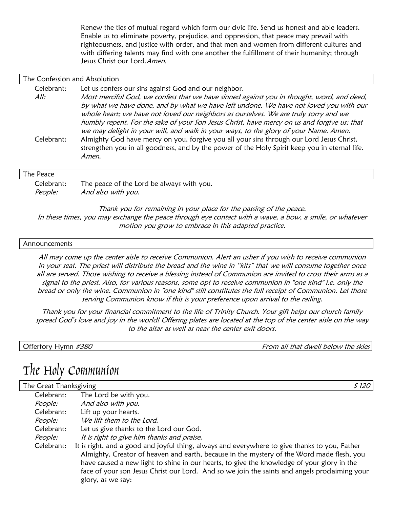Renew the ties of mutual regard which form our civic life. Send us honest and able leaders. Enable us to eliminate poverty, prejudice, and oppression, that peace may prevail with righteousness, and justice with order, and that men and women from different cultures and with differing talents may find with one another the fulfillment of their humanity; through Jesus Christ our Lord. Amen.

| The Confession and Absolution |                                                                                                                                                                                                                                                                                                                                                                                                                                                                                                                                                                            |  |  |  |
|-------------------------------|----------------------------------------------------------------------------------------------------------------------------------------------------------------------------------------------------------------------------------------------------------------------------------------------------------------------------------------------------------------------------------------------------------------------------------------------------------------------------------------------------------------------------------------------------------------------------|--|--|--|
| Celebrant:<br>All:            | Let us confess our sins against God and our neighbor.<br>Most merciful God, we confess that we have sinned against you in thought, word, and deed,                                                                                                                                                                                                                                                                                                                                                                                                                         |  |  |  |
| Celebrant:                    | by what we have done, and by what we have left undone. We have not loved you with our<br>whole heart; we have not loved our neighbors as ourselves. We are truly sorry and we<br>humbly repent. For the sake of your Son Jesus Christ, have mercy on us and forgive us; that<br>we may delight in your will, and walk in your ways, to the glory of your Name. Amen.<br>Almighty God have mercy on you, forgive you all your sins through our Lord Jesus Christ,<br>strengthen you in all goodness, and by the power of the Holy Spirit keep you in eternal life.<br>Amen. |  |  |  |
| The Peace                     |                                                                                                                                                                                                                                                                                                                                                                                                                                                                                                                                                                            |  |  |  |
| Celebrant:                    | The peace of the Lord be always with you.                                                                                                                                                                                                                                                                                                                                                                                                                                                                                                                                  |  |  |  |
| People:                       | And also with you.                                                                                                                                                                                                                                                                                                                                                                                                                                                                                                                                                         |  |  |  |

Thank you for remaining in your place for the passing of the peace. In these times, you may exchange the peace through eye contact with a wave, a bow, a smile, or whatever motion you grow to embrace in this adapted practice.

#### Announcements

All may come up the center aisle to receive Communion. Alert an usher if you wish to receive communion in your seat. The priest will distribute the bread and the wine in "kits" that we will consume together once all are served. Those wishing to receive a blessing instead of Communion are invited to cross their arms as a signal to the priest. Also, for various reasons, some opt to receive communion in "one kind" i.e. only the bread or only the wine. Communion in "one kind" still constitutes the full receipt of Communion. Let those serving Communion know if this is your preference upon arrival to the railing.

Thank you for your financial commitment to the life of Trinity Church. Your gift helps our church family spread God's love and joy in the world! Offering plates are located at the top of the center aisle on the way to the altar as well as near the center exit doors.

|  | Offertory Hymn #380 |
|--|---------------------|
|--|---------------------|

From all that dwell below the skies

## The Holy Communion

| The Great Thanksgiving |                                                                                                                                                                                                                                                                                                                                                                                                                | S 120 |
|------------------------|----------------------------------------------------------------------------------------------------------------------------------------------------------------------------------------------------------------------------------------------------------------------------------------------------------------------------------------------------------------------------------------------------------------|-------|
| Celebrant:             | The Lord be with you.                                                                                                                                                                                                                                                                                                                                                                                          |       |
| People:                | And also with you.                                                                                                                                                                                                                                                                                                                                                                                             |       |
| Celebrant:             | Lift up your hearts.                                                                                                                                                                                                                                                                                                                                                                                           |       |
| People:                | We lift them to the Lord.                                                                                                                                                                                                                                                                                                                                                                                      |       |
| Celebrant:             | Let us give thanks to the Lord our God.                                                                                                                                                                                                                                                                                                                                                                        |       |
| People:                | It is right to give him thanks and praise.                                                                                                                                                                                                                                                                                                                                                                     |       |
| Celebrant:             | It is right, and a good and joyful thing, always and everywhere to give thanks to you, Father<br>Almighty, Creator of heaven and earth, because in the mystery of the Word made flesh, you<br>have caused a new light to shine in our hearts, to give the knowledge of your glory in the<br>face of your son Jesus Christ our Lord. And so we join the saints and angels proclaiming your<br>glory, as we say: |       |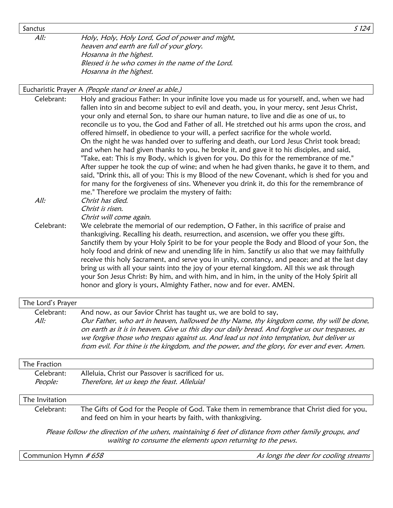Sanctus  $\sim$  Since  $\sim$  Since  $\sim$  Since  $\sim$  Since  $\sim$  Since  $\sim$  Since  $\sim$  Since  $\sim$  Since  $\sim$  Since  $\sim$  Since  $\sim$  Since  $\sim$  Since  $\sim$  Since  $\sim$  Since  $\sim$  Since  $\sim$  Since  $\sim$  Since  $\sim$  Since  $\sim$  Since  $\sim$ 

All: Holy, Holy, Holy Lord, God of power and might, heaven and earth are full of your glory. Hosanna in the highest. Blessed is he who comes in the name of the Lord. Hosanna in the highest.

#### Eucharistic Prayer A (People stand or kneel as able.)

Celebrant: Holy and gracious Father: In your infinite love you made us for yourself, and, when we had fallen into sin and become subject to evil and death, you, in your mercy, sent Jesus Christ, your only and eternal Son, to share our human nature, to live and die as one of us, to reconcile us to you, the God and Father of all. He stretched out his arms upon the cross, and offered himself, in obedience to your will, a perfect sacrifice for the whole world. On the night he was handed over to suffering and death, our Lord Jesus Christ took bread; and when he had given thanks to you, he broke it, and gave it to his disciples, and said, "Take, eat: This is my Body, which is given for you. Do this for the remembrance of me." After supper he took the cup of wine; and when he had given thanks, he gave it to them, and said, "Drink this, all of you: This is my Blood of the new Covenant, which is shed for you and for many for the forgiveness of sins. Whenever you drink it, do this for the remembrance of me." Therefore we proclaim the mystery of faith: All: Christ has died. Christ is risen. Christ will come again. Celebrant: We celebrate the memorial of our redemption, O Father, in this sacrifice of praise and thanksgiving. Recalling his death, resurrection, and ascension, we offer you these gifts. Sanctify them by your Holy Spirit to be for your people the Body and Blood of your Son, the holy food and drink of new and unending life in him. Sanctify us also that we may faithfully receive this holy Sacrament, and serve you in unity, constancy, and peace; and at the last day bring us with all your saints into the joy of your eternal kingdom. All this we ask through

your Son Jesus Christ: By him, and with him, and in him, in the unity of the Holy Spirit all honor and glory is yours, Almighty Father, now and for ever. AMEN.

### The Lord's Prayer Celebrant: And now, as our Savior Christ has taught us, we are bold to say, All: Our Father, who art in heaven, hallowed be thy Name, thy kingdom come, thy will be done, on earth as it is in heaven. Give us this day our daily bread. And forgive us our trespasses, as we forgive those who trespass against us. And lead us not into temptation, but deliver us from evil. For thine is the kingdom, and the power, and the glory, for ever and ever. Amen. The Fraction

## Celebrant: Alleluia, Christ our Passover is sacrificed for us. People: Therefore, let us keep the feast. Alleluia!

#### The Invitation

Celebrant: The Gifts of God for the People of God. Take them in remembrance that Christ died for you, and feed on him in your hearts by faith, with thanksgiving.

Please follow the direction of the ushers, maintaining 6 feet of distance from other family groups, and waiting to consume the elements upon returning to the pews.

Communion Hymn #658 Assembly that the control of the deer for cooling streams of the deer for cooling streams